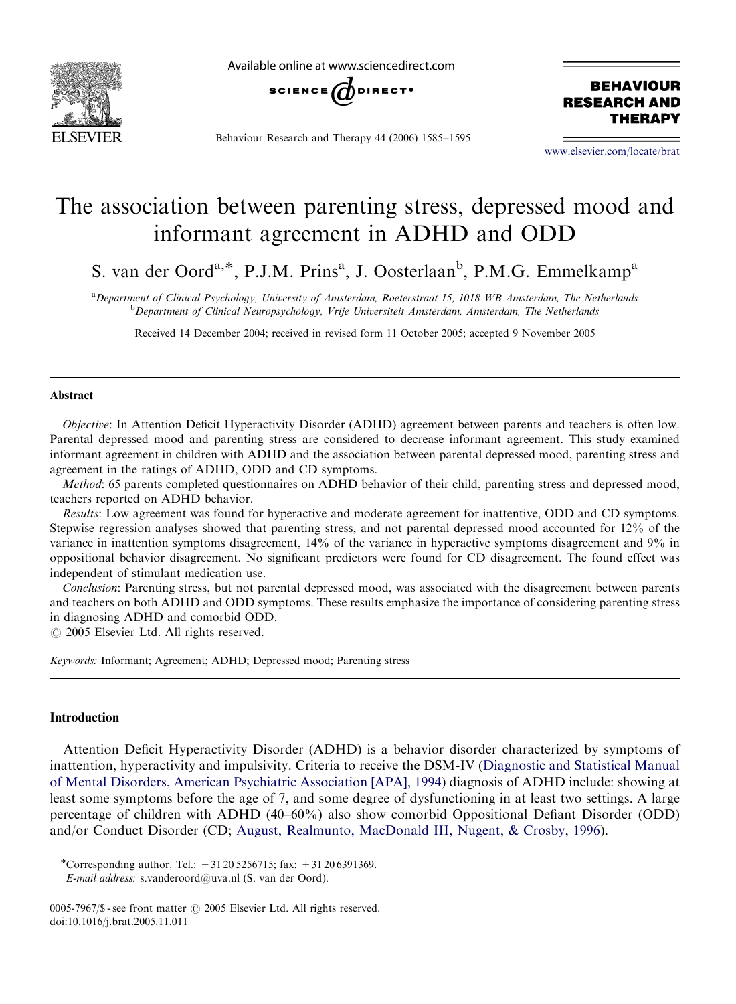

Available online at www.sciencedirect.com



Behaviour Research and Therapy 44 (2006) 1585–1595

**BEHAVIOUR RESEARCH AND** THERAPY

<www.elsevier.com/locate/brat>

## The association between parenting stress, depressed mood and informant agreement in ADHD and ODD

S. van der Oord<sup>a,\*</sup>, P.J.M. Prins<sup>a</sup>, J. Oosterlaan<sup>b</sup>, P.M.G. Emmelkamp<sup>a</sup>

<sup>a</sup> Department of Clinical Psychology, University of Amsterdam, Roeterstraat 15, 1018 WB Amsterdam, The Netherlands <sup>b</sup>Department of Clinical Neuropsychology, Vrije Universiteit Amsterdam, Amsterdam, The Netherlands

Received 14 December 2004; received in revised form 11 October 2005; accepted 9 November 2005

## Abstract

Objective: In Attention Deficit Hyperactivity Disorder (ADHD) agreement between parents and teachers is often low. Parental depressed mood and parenting stress are considered to decrease informant agreement. This study examined informant agreement in children with ADHD and the association between parental depressed mood, parenting stress and agreement in the ratings of ADHD, ODD and CD symptoms.

Method: 65 parents completed questionnaires on ADHD behavior of their child, parenting stress and depressed mood, teachers reported on ADHD behavior.

Results: Low agreement was found for hyperactive and moderate agreement for inattentive, ODD and CD symptoms. Stepwise regression analyses showed that parenting stress, and not parental depressed mood accounted for 12% of the variance in inattention symptoms disagreement, 14% of the variance in hyperactive symptoms disagreement and 9% in oppositional behavior disagreement. No significant predictors were found for CD disagreement. The found effect was independent of stimulant medication use.

Conclusion: Parenting stress, but not parental depressed mood, was associated with the disagreement between parents and teachers on both ADHD and ODD symptoms. These results emphasize the importance of considering parenting stress in diagnosing ADHD and comorbid ODD.

 $O$  2005 Elsevier Ltd. All rights reserved.

Keywords: Informant; Agreement; ADHD; Depressed mood; Parenting stress

## Introduction

Attention Deficit Hyperactivity Disorder (ADHD) is a behavior disorder characterized by symptoms of inattention, hyperactivity and impulsivity. Criteria to receive the DSM-IV [\(Diagnostic and Statistical Manual](#page--1-0) [of Mental Disorders, American Psychiatric Association \[APA\], 1994\)](#page--1-0) diagnosis of ADHD include: showing at least some symptoms before the age of 7, and some degree of dysfunctioning in at least two settings. A large percentage of children with ADHD (40–60%) also show comorbid Oppositional Defiant Disorder (ODD) and/or Conduct Disorder (CD; [August, Realmunto, MacDonald III, Nugent,](#page--1-0) & [Crosby, 1996](#page--1-0)).

E-mail address: s.vanderoord@uva.nl (S. van der Oord).

<sup>-</sup>Corresponding author. Tel.: +31 20 5256715; fax: +31 20 6391369.

<sup>0005-7967/\$ -</sup> see front matter  $\odot$  2005 Elsevier Ltd. All rights reserved. doi:10.1016/j.brat.2005.11.011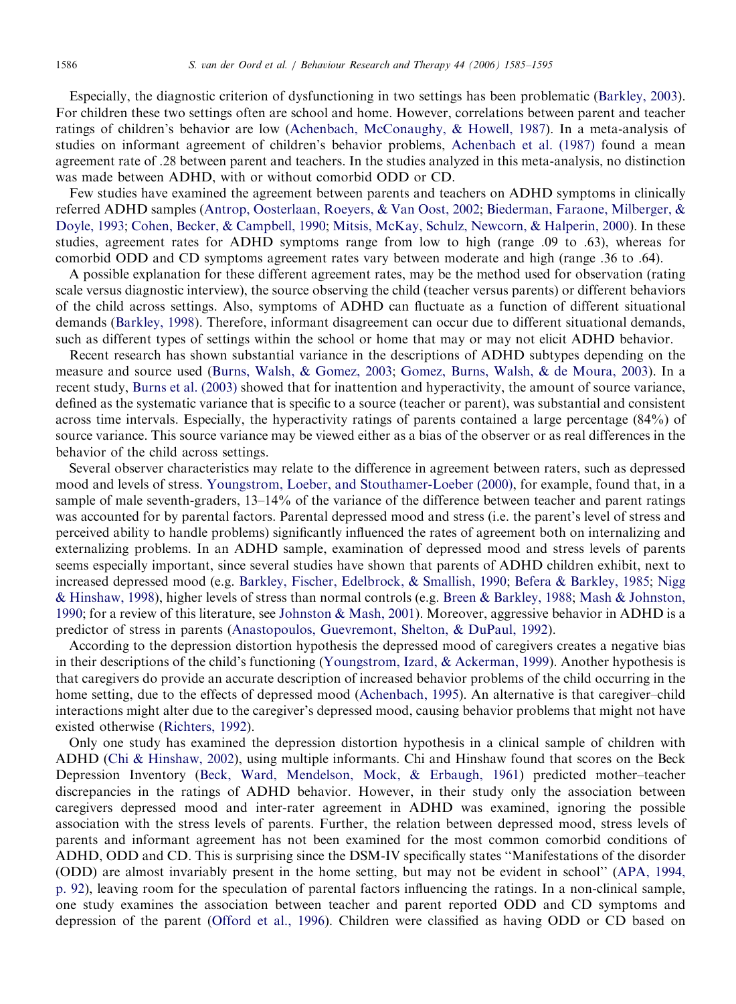Especially, the diagnostic criterion of dysfunctioning in two settings has been problematic ([Barkley, 2003](#page--1-0)). For children these two settings often are school and home. However, correlations between parent and teacher ratings of children's behavior are low ([Achenbach, McConaughy,](#page--1-0) [& Howell, 1987\)](#page--1-0). In a meta-analysis of studies on informant agreement of children's behavior problems, [Achenbach et al. \(1987\)](#page--1-0) found a mean agreement rate of .28 between parent and teachers. In the studies analyzed in this meta-analysis, no distinction was made between ADHD, with or without comorbid ODD or CD.

Few studies have examined the agreement between parents and teachers on ADHD symptoms in clinically referred ADHD samples [\(Antrop, Oosterlaan, Roeyers,](#page--1-0) & [Van Oost, 2002;](#page--1-0) [Biederman, Faraone, Milberger, &](#page--1-0) [Doyle, 1993](#page--1-0); [Cohen, Becker, & Campbell, 1990](#page--1-0); [Mitsis, McKay, Schulz, Newcorn, & Halperin, 2000\)](#page--1-0). In these studies, agreement rates for ADHD symptoms range from low to high (range .09 to .63), whereas for comorbid ODD and CD symptoms agreement rates vary between moderate and high (range .36 to .64).

A possible explanation for these different agreement rates, may be the method used for observation (rating scale versus diagnostic interview), the source observing the child (teacher versus parents) or different behaviors of the child across settings. Also, symptoms of ADHD can fluctuate as a function of different situational demands [\(Barkley, 1998\)](#page--1-0). Therefore, informant disagreement can occur due to different situational demands, such as different types of settings within the school or home that may or may not elicit ADHD behavior.

Recent research has shown substantial variance in the descriptions of ADHD subtypes depending on the measure and source used ([Burns, Walsh, & Gomez, 2003](#page--1-0); [Gomez, Burns, Walsh, & de Moura, 2003\)](#page--1-0). In a recent study, [Burns et al. \(2003\)](#page--1-0) showed that for inattention and hyperactivity, the amount of source variance, defined as the systematic variance that is specific to a source (teacher or parent), was substantial and consistent across time intervals. Especially, the hyperactivity ratings of parents contained a large percentage (84%) of source variance. This source variance may be viewed either as a bias of the observer or as real differences in the behavior of the child across settings.

Several observer characteristics may relate to the difference in agreement between raters, such as depressed mood and levels of stress. [Youngstrom, Loeber, and Stouthamer-Loeber \(2000\),](#page--1-0) for example, found that, in a sample of male seventh-graders, 13–14% of the variance of the difference between teacher and parent ratings was accounted for by parental factors. Parental depressed mood and stress (i.e. the parent's level of stress and perceived ability to handle problems) significantly influenced the rates of agreement both on internalizing and externalizing problems. In an ADHD sample, examination of depressed mood and stress levels of parents seems especially important, since several studies have shown that parents of ADHD children exhibit, next to increased depressed mood (e.g. [Barkley, Fischer, Edelbrock,](#page--1-0) [& Smallish, 1990;](#page--1-0) [Befera](#page--1-0) & [Barkley, 1985;](#page--1-0) [Nigg](#page--1-0) & [Hinshaw, 1998](#page--1-0)), higher levels of stress than normal controls (e.g. [Breen](#page--1-0) & [Barkley, 1988](#page--1-0); [Mash](#page--1-0) [& Johnston,](#page--1-0) [1990](#page--1-0); for a review of this literature, see [Johnston & Mash, 2001](#page--1-0)). Moreover, aggressive behavior in ADHD is a predictor of stress in parents ([Anastopoulos, Guevremont, Shelton,](#page--1-0) [& DuPaul, 1992](#page--1-0)).

According to the depression distortion hypothesis the depressed mood of caregivers creates a negative bias in their descriptions of the child's functioning [\(Youngstrom, Izard,](#page--1-0) [& Ackerman, 1999](#page--1-0)). Another hypothesis is that caregivers do provide an accurate description of increased behavior problems of the child occurring in the home setting, due to the effects of depressed mood ([Achenbach, 1995\)](#page--1-0). An alternative is that caregiver–child interactions might alter due to the caregiver's depressed mood, causing behavior problems that might not have existed otherwise ([Richters, 1992\)](#page--1-0).

Only one study has examined the depression distortion hypothesis in a clinical sample of children with ADHD ([Chi & Hinshaw, 2002](#page--1-0)), using multiple informants. Chi and Hinshaw found that scores on the Beck Depression Inventory ([Beck, Ward, Mendelson, Mock,](#page--1-0) [& Erbaugh, 1961](#page--1-0)) predicted mother–teacher discrepancies in the ratings of ADHD behavior. However, in their study only the association between caregivers depressed mood and inter-rater agreement in ADHD was examined, ignoring the possible association with the stress levels of parents. Further, the relation between depressed mood, stress levels of parents and informant agreement has not been examined for the most common comorbid conditions of ADHD, ODD and CD. This is surprising since the DSM-IV specifically states ''Manifestations of the disorder (ODD) are almost invariably present in the home setting, but may not be evident in school'' ([APA, 1994,](#page--1-0) [p. 92\)](#page--1-0), leaving room for the speculation of parental factors influencing the ratings. In a non-clinical sample, one study examines the association between teacher and parent reported ODD and CD symptoms and depression of the parent ([Offord et al., 1996](#page--1-0)). Children were classified as having ODD or CD based on